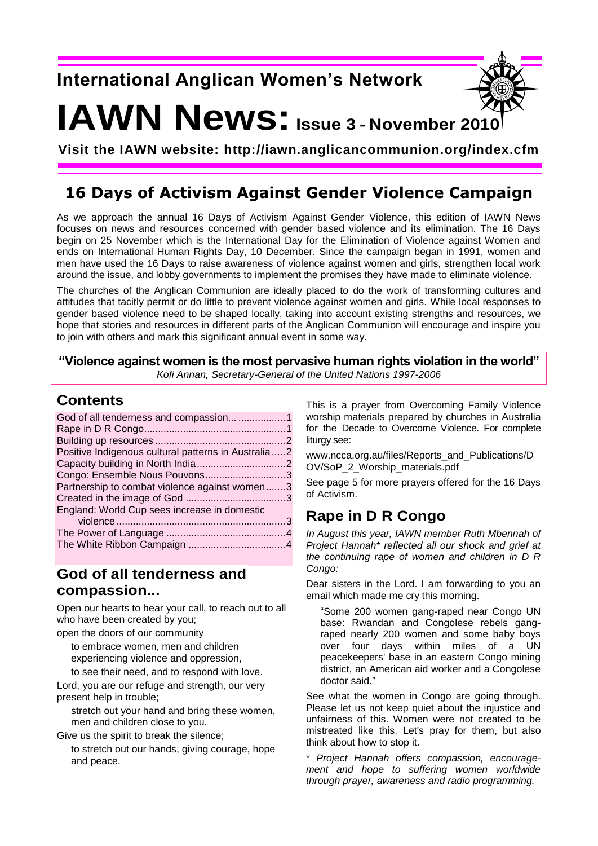## **International Anglican Women's Network**



# **IAWN News:Issue 3 - November 2010**

**Visit the IAWN website: http://iawn.anglicancommunion.org/index.cfm**

## **16 Days of Activism Against Gender Violence Campaign**

As we approach the annual 16 Days of Activism Against Gender Violence, this edition of IAWN News focuses on news and resources concerned with gender based violence and its elimination. The 16 Days begin on 25 November which is the International Day for the Elimination of Violence against Women and ends on International Human Rights Day, 10 December. Since the campaign began in 1991, women and men have used the 16 Days to raise awareness of violence against women and girls, strengthen local work around the issue, and lobby governments to implement the promises they have made to eliminate violence.

The churches of the Anglican Communion are ideally placed to do the work of transforming cultures and attitudes that tacitly permit or do little to prevent violence against women and girls. While local responses to gender based violence need to be shaped locally, taking into account existing strengths and resources, we hope that stories and resources in different parts of the Anglican Communion will encourage and inspire you to join with others and mark this significant annual event in some way.

**"Violence against women is the most pervasive human rights violation in the world"** *Kofi Annan, Secretary-General of the United Nations 1997-2006*

#### **Contents**

| God of all tenderness and compassion 1              |  |
|-----------------------------------------------------|--|
|                                                     |  |
|                                                     |  |
| Positive Indigenous cultural patterns in Australia2 |  |
|                                                     |  |
| Congo: Ensemble Nous Pouvons3                       |  |
| Partnership to combat violence against women3       |  |
|                                                     |  |
| England: World Cup sees increase in domestic        |  |
|                                                     |  |
|                                                     |  |
|                                                     |  |

#### **God of all tenderness and compassion...**

Open our hearts to hear your call, to reach out to all who have been created by you;

open the doors of our community

to embrace women, men and children experiencing violence and oppression,

to see their need, and to respond with love. Lord, you are our refuge and strength, our very present help in trouble;

stretch out your hand and bring these women, men and children close to you.

Give us the spirit to break the silence;

to stretch out our hands, giving courage, hope and peace.

This is a prayer from Overcoming Family Violence worship materials prepared by churches in Australia for the Decade to Overcome Violence. For complete liturav see:

www.ncca.org.au/files/Reports\_and\_Publications/D OV/SoP\_2\_Worship\_materials.pdf

See page 5 for more prayers offered for the 16 Days of Activism.

## **Rape in D R Congo**

*In August this year, IAWN member Ruth Mbennah of Project Hannah\* reflected all our shock and grief at the continuing rape of women and children in D R Congo:*

Dear sisters in the Lord. I am forwarding to you an email which made me cry this morning.

"Some 200 women gang-raped near Congo UN base: Rwandan and Congolese rebels gangraped nearly 200 women and some baby boys over four days within miles of a UN peacekeepers' base in an eastern Congo mining district, an American aid worker and a Congolese doctor said."

See what the women in Congo are going through. Please let us not keep quiet about the injustice and unfairness of this. Women were not created to be mistreated like this. Let's pray for them, but also think about how to stop it.

\* *Project Hannah offers compassion, encouragement and hope to suffering women worldwide through prayer, awareness and radio programming.*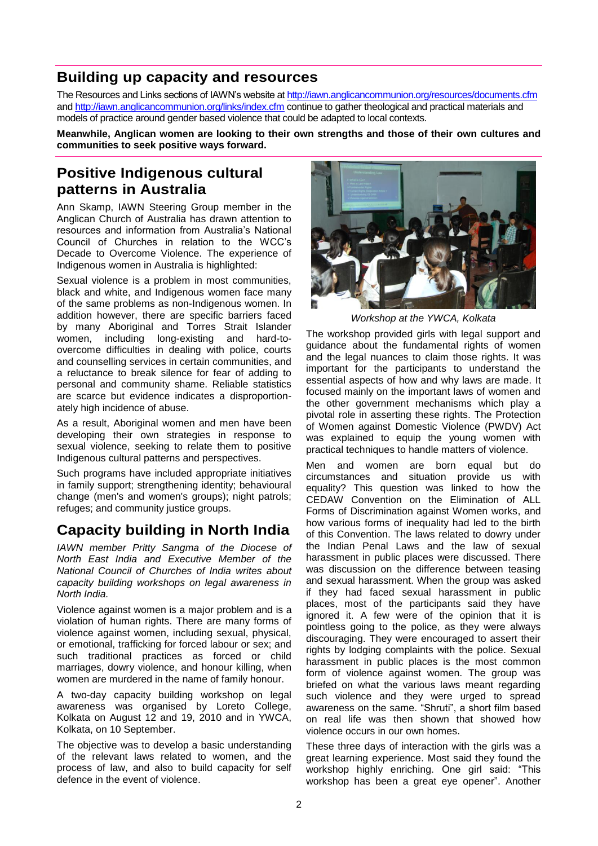#### **Building up capacity and resources**

The Resources and Links sections of IAWN"s website at <http://iawn.anglicancommunion.org/resources/documents.cfm> and<http://iawn.anglicancommunion.org/links/index.cfm> continue to gather theological and practical materials and models of practice around gender based violence that could be adapted to local contexts.

**Meanwhile, Anglican women are looking to their own strengths and those of their own cultures and communities to seek positive ways forward.**

#### **Positive Indigenous cultural patterns in Australia**

Ann Skamp, IAWN Steering Group member in the Anglican Church of Australia has drawn attention to resources and information from Australia"s National Council of Churches in relation to the WCC"s Decade to Overcome Violence. The experience of Indigenous women in Australia is highlighted:

Sexual violence is a problem in most communities, black and white, and Indigenous women face many of the same problems as non-Indigenous women. In addition however, there are specific barriers faced by many Aboriginal and Torres Strait Islander women, including long-existing and hard-toovercome difficulties in dealing with police, courts and counselling services in certain communities, and a reluctance to break silence for fear of adding to personal and community shame. Reliable statistics are scarce but evidence indicates a disproportionately high incidence of abuse.

As a result, Aboriginal women and men have been developing their own strategies in response to sexual violence, seeking to relate them to positive Indigenous cultural patterns and perspectives.

Such programs have included appropriate initiatives in family support; strengthening identity; behavioural change (men's and women's groups); night patrols; refuges; and community justice groups.

#### **Capacity building in North India**

*IAWN member Pritty Sangma of the Diocese of North East India and Executive Member of the National Council of Churches of India writes about capacity building workshops on legal awareness in North India.*

Violence against women is a major problem and is a violation of human rights. There are many forms of violence against women, including sexual, physical, or emotional, trafficking for forced labour or sex; and such traditional practices as forced or child marriages, dowry violence, and honour killing, when women are murdered in the name of family honour.

A two-day capacity building workshop on legal awareness was organised by Loreto College, Kolkata on August 12 and 19, 2010 and in YWCA, Kolkata, on 10 September.

The objective was to develop a basic understanding of the relevant laws related to women, and the process of law, and also to build capacity for self defence in the event of violence.



*Workshop at the YWCA, Kolkata*

The workshop provided girls with legal support and guidance about the fundamental rights of women and the legal nuances to claim those rights. It was important for the participants to understand the essential aspects of how and why laws are made. It focused mainly on the important laws of women and the other government mechanisms which play a pivotal role in asserting these rights. The Protection of Women against Domestic Violence (PWDV) Act was explained to equip the young women with practical techniques to handle matters of violence.

Men and women are born equal but do circumstances and situation provide us with equality? This question was linked to how the CEDAW Convention on the Elimination of ALL Forms of Discrimination against Women works, and how various forms of inequality had led to the birth of this Convention. The laws related to dowry under the Indian Penal Laws and the law of sexual harassment in public places were discussed. There was discussion on the difference between teasing and sexual harassment. When the group was asked if they had faced sexual harassment in public places, most of the participants said they have ignored it. A few were of the opinion that it is pointless going to the police, as they were always discouraging. They were encouraged to assert their rights by lodging complaints with the police. Sexual harassment in public places is the most common form of violence against women. The group was briefed on what the various laws meant regarding such violence and they were urged to spread awareness on the same. "Shruti", a short film based on real life was then shown that showed how violence occurs in our own homes.

These three days of interaction with the girls was a great learning experience. Most said they found the workshop highly enriching. One girl said: "This workshop has been a great eye opener". Another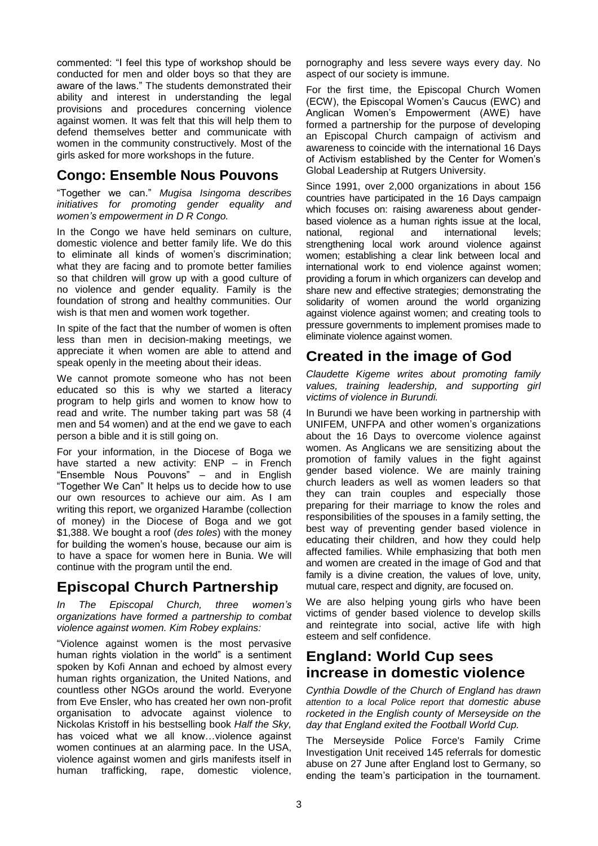commented: "I feel this type of workshop should be conducted for men and older boys so that they are aware of the laws." The students demonstrated their ability and interest in understanding the legal provisions and procedures concerning violence against women. It was felt that this will help them to defend themselves better and communicate with women in the community constructively. Most of the girls asked for more workshops in the future.

#### **Congo: Ensemble Nous Pouvons**

"Together we can." *Mugisa Isingoma describes initiatives for promoting gender equality and women's empowerment in D R Congo.*

In the Congo we have held seminars on culture, domestic violence and better family life. We do this to eliminate all kinds of women's discrimination; what they are facing and to promote better families so that children will grow up with a good culture of no violence and gender equality. Family is the foundation of strong and healthy communities. Our wish is that men and women work together.

In spite of the fact that the number of women is often less than men in decision-making meetings, we appreciate it when women are able to attend and speak openly in the meeting about their ideas.

We cannot promote someone who has not been educated so this is why we started a literacy program to help girls and women to know how to read and write. The number taking part was 58 (4 men and 54 women) and at the end we gave to each person a bible and it is still going on.

For your information, in the Diocese of Boga we have started a new activity: ENP – in French "Ensemble Nous Pouvons" – and in English "Together We Can" It helps us to decide how to use our own resources to achieve our aim. As I am writing this report, we organized Harambe (collection of money) in the Diocese of Boga and we got \$1,388. We bought a roof (*des toles*) with the money for building the women's house, because our aim is to have a space for women here in Bunia. We will continue with the program until the end.

### **Episcopal Church Partnership**

*In The Episcopal Church, three women's organizations have formed a partnership to combat violence against women. Kim Robey explains:*

"Violence against women is the most pervasive human rights violation in the world" is a sentiment spoken by Kofi Annan and echoed by almost every human rights organization, the United Nations, and countless other NGOs around the world. Everyone from Eve Ensler, who has created her own non-profit organisation to advocate against violence to Nickolas Kristoff in his bestselling book *Half the Sky,* has voiced what we all know…violence against women continues at an alarming pace. In the USA, violence against women and girls manifests itself in human trafficking, rape, domestic violence,

pornography and less severe ways every day. No aspect of our society is immune.

For the first time, the Episcopal Church Women (ECW), the Episcopal Women"s Caucus (EWC) and Anglican Women"s Empowerment (AWE) have formed a partnership for the purpose of developing an Episcopal Church campaign of activism and awareness to coincide with the international 16 Days of Activism established by the Center for Women"s Global Leadership at Rutgers University.

Since 1991, over 2,000 organizations in about 156 countries have participated in the 16 Days campaign which focuses on: raising awareness about genderbased violence as a human rights issue at the local, national, regional and international levels: national, regional and international levels; strengthening local work around violence against women; establishing a clear link between local and international work to end violence against women; providing a forum in which organizers can develop and share new and effective strategies; demonstrating the solidarity of women around the world organizing against violence against women; and creating tools to pressure governments to implement promises made to eliminate violence against women.

#### **Created in the image of God**

*Claudette Kigeme writes about promoting family values, training leadership, and supporting girl victims of violence in Burundi.*

In Burundi we have been working in partnership with UNIFEM, UNFPA and other women"s organizations about the 16 Days to overcome violence against women. As Anglicans we are sensitizing about the promotion of family values in the fight against gender based violence. We are mainly training church leaders as well as women leaders so that they can train couples and especially those preparing for their marriage to know the roles and responsibilities of the spouses in a family setting, the best way of preventing gender based violence in educating their children, and how they could help affected families. While emphasizing that both men and women are created in the image of God and that family is a divine creation, the values of love, unity, mutual care, respect and dignity, are focused on.

We are also helping young girls who have been victims of gender based violence to develop skills and reintegrate into social, active life with high esteem and self confidence.

#### **England: World Cup sees increase in domestic violence**

*Cynthia Dowdle of the Church of England has drawn attention to a local Police report that domestic abuse rocketed in the English county of Merseyside on the day that England exited the Football World Cup.*

The Merseyside Police Force's Family Crime Investigation Unit received 145 referrals for domestic abuse on 27 June after England lost to Germany, so ending the team"s participation in the tournament.